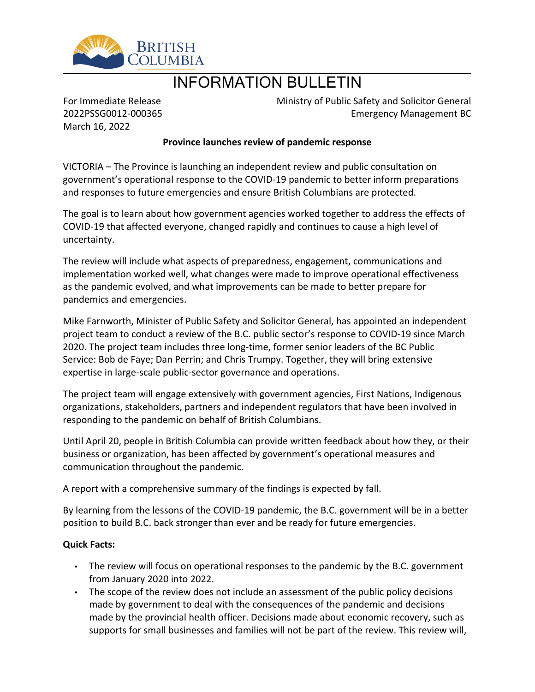

# INFORMATION BULLETIN

For Immediate Release 2022PSSG0012-000365 March 16, 2022

Ministry of Public Safety and Solicitor General Emergency Management BC

## **Province launches review of pandemic response**

VICTORIA – The Province is launching an independent review and public consultation on government's operational response to the COVID-19 pandemic to better inform preparations and responses to future emergencies and ensure British Columbians are protected.

The goal is to learn about how government agencies worked together to address the effects of COVID-19 that affected everyone, changed rapidly and continues to cause a high level of uncertainty.

The review will include what aspects of preparedness, engagement, communications and implementation worked well, what changes were made to improve operational effectiveness as the pandemic evolved, and what improvements can be made to better prepare for pandemics and emergencies.

Mike Farnworth, Minister of Public Safety and Solicitor General, has appointed an independent project team to conduct a review of the B.C. public sector's response to COVID-19 since March 2020. The project team includes three long-time, former senior leaders of the BC Public Service: Bob de Faye; Dan Perrin; and Chris Trumpy. Together, they will bring extensive expertise in large-scale public-sector governance and operations.

The project team will engage extensively with government agencies, First Nations, Indigenous organizations, stakeholders, partners and independent regulators that have been involved in responding to the pandemic on behalf of British Columbians.

Until April 20, people in British Columbia can provide written feedback about how they, or their business or organization, has been affected by government's operational measures and communication throughout the pandemic.

A report with a comprehensive summary of the findings is expected by fall.

By learning from the lessons of the COVID-19 pandemic, the B.C. government will be in a better position to build B.C. back stronger than ever and be ready for future emergencies.

### **Quick Facts:**

- The review will focus on operational responses to the pandemic by the B.C. government from January 2020 into 2022.
- The scope of the review does not include an assessment of the public policy decisions made by government to deal with the consequences of the pandemic and decisions made by the provincial health officer. Decisions made about economic recovery, such as supports for small businesses and families will not be part of the review. This review will,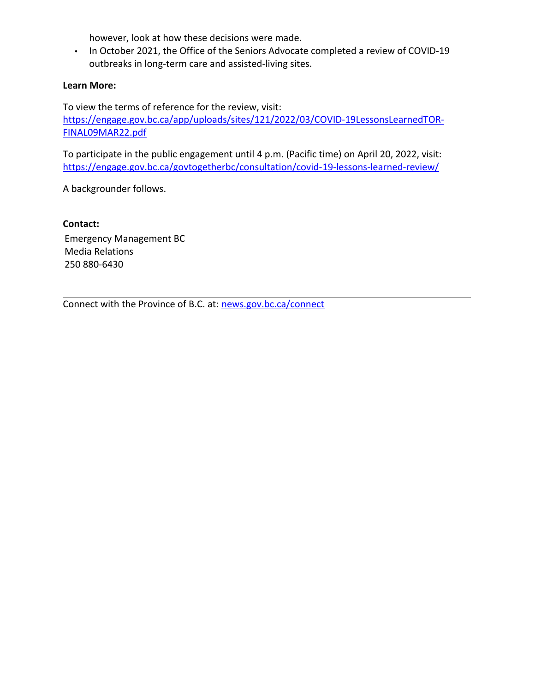however, look at how these decisions were made.

• In October 2021, the Office of the Seniors Advocate completed a review of COVID-19 outbreaks in long-term care and assisted-living sites.

### **Learn More:**

To view the terms of reference for the review, visit: [https://engage.gov.bc.ca/app/uploads/sites/121/2022/03/COVID-19LessonsLearnedTOR-](https://engage.gov.bc.ca/app/uploads/sites/121/2022/03/COVID-19LessonsLearnedTOR-FINAL09MAR22.pdf)[FINAL09MAR22.pdf](https://engage.gov.bc.ca/app/uploads/sites/121/2022/03/COVID-19LessonsLearnedTOR-FINAL09MAR22.pdf)

To participate in the public engagement until 4 p.m. (Pacific time) on April 20, 2022, visit: <https://engage.gov.bc.ca/govtogetherbc/consultation/covid-19-lessons-learned-review/>

A backgrounder follows.

**Contact:**

Emergency Management BC Media Relations 250 880-6430

Connect with the Province of B.C. at: [news.gov.bc.ca/connect](http://news.gov.bc.ca/connect)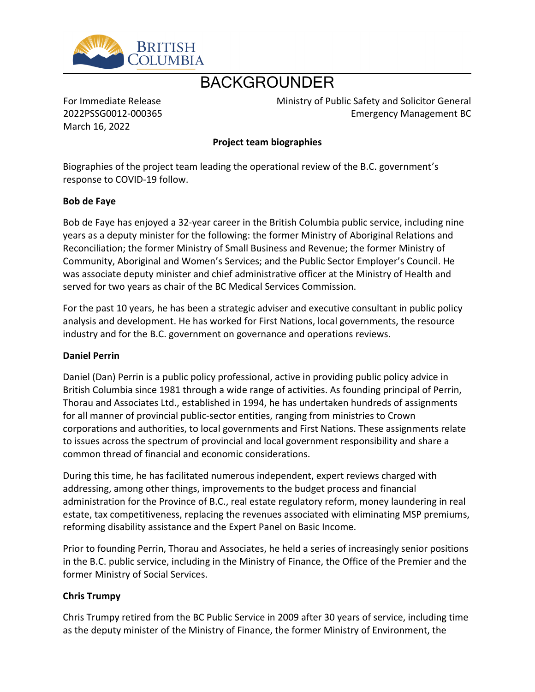

# BACKGROUNDER

For Immediate Release 2022PSSG0012-000365 March 16, 2022

Ministry of Public Safety and Solicitor General Emergency Management BC

## **Project team biographies**

Biographies of the project team leading the operational review of the B.C. government's response to COVID-19 follow.

## **Bob de Faye**

Bob de Faye has enjoyed a 32-year career in the British Columbia public service, including nine years as a deputy minister for the following: the former Ministry of Aboriginal Relations and Reconciliation; the former Ministry of Small Business and Revenue; the former Ministry of Community, Aboriginal and Women's Services; and the Public Sector Employer's Council. He was associate deputy minister and chief administrative officer at the Ministry of Health and served for two years as chair of the BC Medical Services Commission.

For the past 10 years, he has been a strategic adviser and executive consultant in public policy analysis and development. He has worked for First Nations, local governments, the resource industry and for the B.C. government on governance and operations reviews.

### **Daniel Perrin**

Daniel (Dan) Perrin is a public policy professional, active in providing public policy advice in British Columbia since 1981 through a wide range of activities. As founding principal of Perrin, Thorau and Associates Ltd., established in 1994, he has undertaken hundreds of assignments for all manner of provincial public-sector entities, ranging from ministries to Crown corporations and authorities, to local governments and First Nations. These assignments relate to issues across the spectrum of provincial and local government responsibility and share a common thread of financial and economic considerations.

During this time, he has facilitated numerous independent, expert reviews charged with addressing, among other things, improvements to the budget process and financial administration for the Province of B.C., real estate regulatory reform, money laundering in real estate, tax competitiveness, replacing the revenues associated with eliminating MSP premiums, reforming disability assistance and the Expert Panel on Basic Income.

Prior to founding Perrin, Thorau and Associates, he held a series of increasingly senior positions in the B.C. public service, including in the Ministry of Finance, the Office of the Premier and the former Ministry of Social Services.

## **Chris Trumpy**

Chris Trumpy retired from the BC Public Service in 2009 after 30 years of service, including time as the deputy minister of the Ministry of Finance, the former Ministry of Environment, the